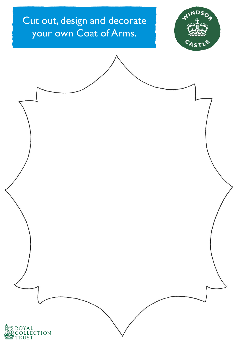## Cut out, design and decorate your own Coat of Arms.



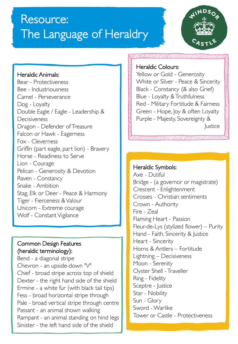# Resource: The Language of Heraldry



#### Heraldic Animals:

Bear - Protectiveness Bee - Industriousness Camel - Perseverance Dog - Loyalty Double Eagle / Eagle - Leadership & Decisiveness Dragon - Defender of Treasure Falcon or Hawk - Eagerness Fox - Cleverness Griffin (part eagle, part lion) - Bravery Horse - Readiness to Serve Lion - Courage Pelican - Generosity & Devotion Raven - Constancy Snake - Ambition Stag, Elk or Deer - Peace & Harmony Tiger - Fierceness & Valour Unicorn - Extreme courage Wolf - Constant Vigilance

#### Common Design Features (heraldic terminology):

Bend - a diagonal stripe Chevron - an upside-down "V" Chief - broad stripe across top of shield Dexter - the right hand side of the shield Ermine - a white fur (with black tail tips) Fess - broad horizontal stripe through Pale - broad vertical stripe through centre Passant - an animal shown walking Rampant - an animal standing on hind legs Sinister - the left hand side of the shield

#### Heraldic Colours:

Yellow or Gold - Generosity White or Silver - Peace & Sincerity Black - Constancy (& also Grief) Blue - Loyalty & Truthfulness Red - Military Fortitude & Fairness Green - Hope, Joy & often Loyalty Purple - Majesty, Sovereignty & **Justice** 

### Heraldic Symbols:

Axe - Dutiful Bridge - (a governor or magistrate) Crescent - Enlightenment Crosses - Christian sentiments Crown - Authority Fire - Zeal Flaming Heart - Passion Fleur-de-Lys (stylized flower) – Purity Hand - Faith, Sincerity & Justice Heart - Sincerity Horns & Antlers – Fortitude Lightning – Decisiveness Moon - Serenity Oyster Shell - Traveller Ring - Fidelity Sceptre - Justice Star - Nobility Sun - Glory Sword - Warlike Tower or Castle - Protectiveness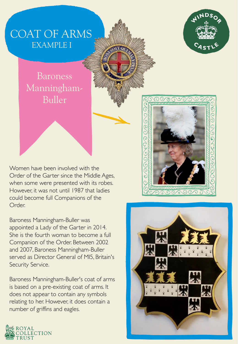## COAT OF ARMS EXAMPLE I

## Baroness Manningham-Buller

Baroness

**Bulletin** 

Manningham



Women have been involved with the Order of the Garter since the Middle Ages, when some were presented with its robes. However, it was not until 1987 that ladies could become full Companions of the Order.

Baroness Manningham-Buller was appointed a Lady of the Garter in 2014. She is the fourth woman to become a full Companion of the Order. Between 2002 and 2007, Baroness Manningham-Buller served as Director General of MI5, Britain's Security Service.

Baroness Manningham-Buller's coat of arms is based on a pre-existing coat of arms. It does not appear to contain any symbols relating to her. However, it does contain a number of griffins and eagles.